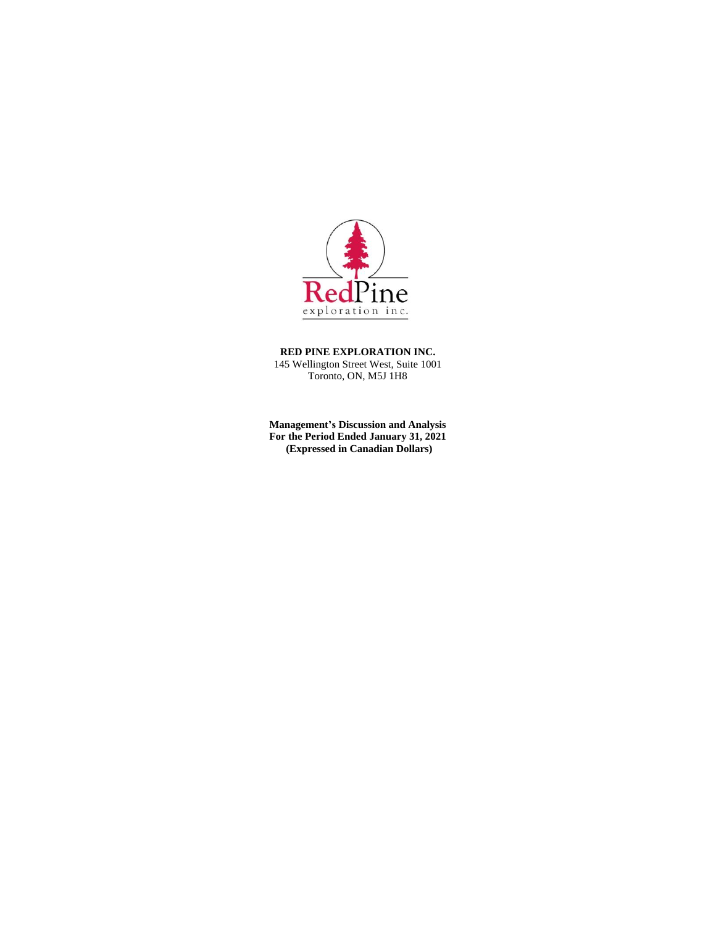

**RED PINE EXPLORATION INC.** 145 Wellington Street West, Suite 1001 Toronto, ON, M5J 1H8

**Management's Discussion and Analysis For the Period Ended January 31, 2021 (Expressed in Canadian Dollars)**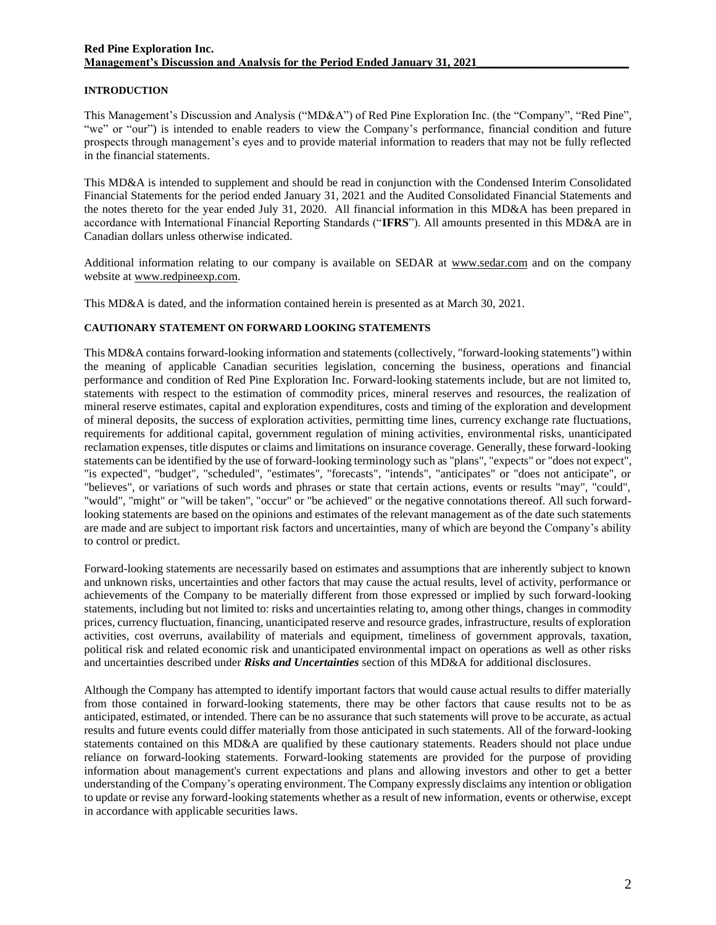## **INTRODUCTION**

This Management's Discussion and Analysis ("MD&A") of Red Pine Exploration Inc. (the "Company", "Red Pine", "we" or "our") is intended to enable readers to view the Company's performance, financial condition and future prospects through management's eyes and to provide material information to readers that may not be fully reflected in the financial statements.

This MD&A is intended to supplement and should be read in conjunction with the Condensed Interim Consolidated Financial Statements for the period ended January 31, 2021 and the Audited Consolidated Financial Statements and the notes thereto for the year ended July 31, 2020. All financial information in this MD&A has been prepared in accordance with International Financial Reporting Standards ("**IFRS**"). All amounts presented in this MD&A are in Canadian dollars unless otherwise indicated.

Additional information relating to our company is available on SEDAR at www.sedar.com and on the company website at www.redpineexp.com.

This MD&A is dated, and the information contained herein is presented as at March 30, 2021.

### **CAUTIONARY STATEMENT ON FORWARD LOOKING STATEMENTS**

This MD&A contains forward-looking information and statements (collectively, "forward-looking statements") within the meaning of applicable Canadian securities legislation, concerning the business, operations and financial performance and condition of Red Pine Exploration Inc. Forward-looking statements include, but are not limited to, statements with respect to the estimation of commodity prices, mineral reserves and resources, the realization of mineral reserve estimates, capital and exploration expenditures, costs and timing of the exploration and development of mineral deposits, the success of exploration activities, permitting time lines, currency exchange rate fluctuations, requirements for additional capital, government regulation of mining activities, environmental risks, unanticipated reclamation expenses, title disputes or claims and limitations on insurance coverage. Generally, these forward-looking statements can be identified by the use of forward-looking terminology such as "plans", "expects" or "does not expect", "is expected", "budget", "scheduled", "estimates", "forecasts", "intends", "anticipates" or "does not anticipate", or "believes", or variations of such words and phrases or state that certain actions, events or results "may", "could", "would", "might" or "will be taken", "occur" or "be achieved" or the negative connotations thereof. All such forwardlooking statements are based on the opinions and estimates of the relevant management as of the date such statements are made and are subject to important risk factors and uncertainties, many of which are beyond the Company's ability to control or predict.

Forward-looking statements are necessarily based on estimates and assumptions that are inherently subject to known and unknown risks, uncertainties and other factors that may cause the actual results, level of activity, performance or achievements of the Company to be materially different from those expressed or implied by such forward-looking statements, including but not limited to: risks and uncertainties relating to, among other things, changes in commodity prices, currency fluctuation, financing, unanticipated reserve and resource grades, infrastructure, results of exploration activities, cost overruns, availability of materials and equipment, timeliness of government approvals, taxation, political risk and related economic risk and unanticipated environmental impact on operations as well as other risks and uncertainties described under *Risks and Uncertainties* section of this MD&A for additional disclosures.

Although the Company has attempted to identify important factors that would cause actual results to differ materially from those contained in forward-looking statements, there may be other factors that cause results not to be as anticipated, estimated, or intended. There can be no assurance that such statements will prove to be accurate, as actual results and future events could differ materially from those anticipated in such statements. All of the forward-looking statements contained on this MD&A are qualified by these cautionary statements. Readers should not place undue reliance on forward-looking statements. Forward-looking statements are provided for the purpose of providing information about management's current expectations and plans and allowing investors and other to get a better understanding of the Company's operating environment. The Company expressly disclaims any intention or obligation to update or revise any forward-looking statements whether as a result of new information, events or otherwise, except in accordance with applicable securities laws.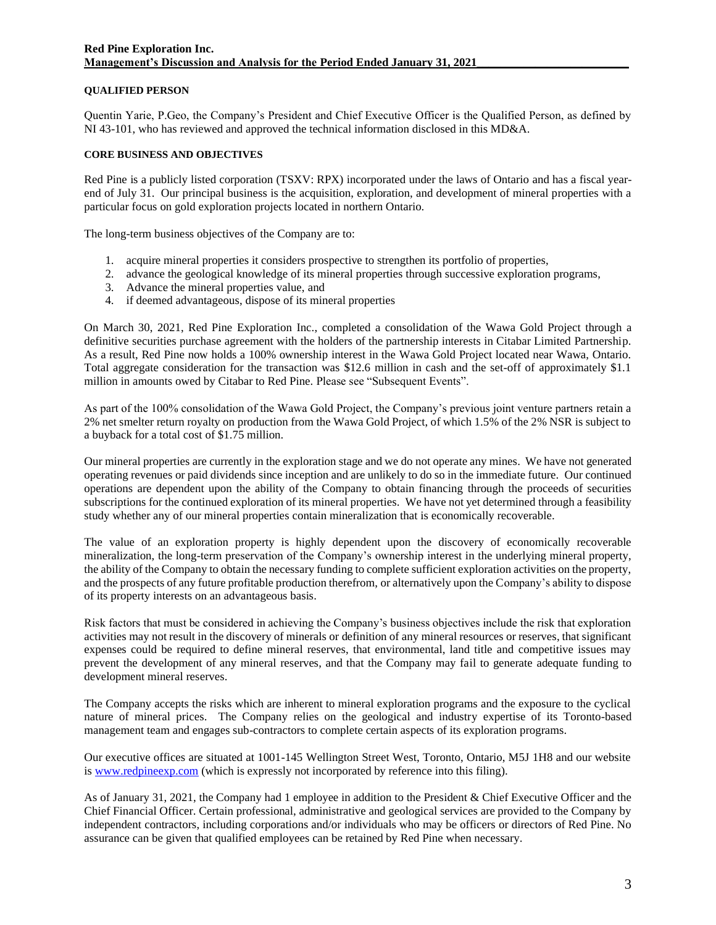#### **QUALIFIED PERSON**

Quentin Yarie, P.Geo, the Company's President and Chief Executive Officer is the Qualified Person, as defined by NI 43-101, who has reviewed and approved the technical information disclosed in this MD&A.

#### **CORE BUSINESS AND OBJECTIVES**

Red Pine is a publicly listed corporation (TSXV: RPX) incorporated under the laws of Ontario and has a fiscal yearend of July 31. Our principal business is the acquisition, exploration, and development of mineral properties with a particular focus on gold exploration projects located in northern Ontario.

The long-term business objectives of the Company are to:

- 1. acquire mineral properties it considers prospective to strengthen its portfolio of properties,
- 2. advance the geological knowledge of its mineral properties through successive exploration programs,
- 3. Advance the mineral properties value, and
- 4. if deemed advantageous, dispose of its mineral properties

On March 30, 2021, Red Pine Exploration Inc., completed a consolidation of the Wawa Gold Project through a definitive securities purchase agreement with the holders of the partnership interests in Citabar Limited Partnership. As a result, Red Pine now holds a 100% ownership interest in the Wawa Gold Project located near Wawa, Ontario. Total aggregate consideration for the transaction was \$12.6 million in cash and the set-off of approximately \$1.1 million in amounts owed by Citabar to Red Pine. Please see "Subsequent Events".

As part of the 100% consolidation of the Wawa Gold Project, the Company's previous joint venture partners retain a 2% net smelter return royalty on production from the Wawa Gold Project, of which 1.5% of the 2% NSR is subject to a buyback for a total cost of \$1.75 million.

Our mineral properties are currently in the exploration stage and we do not operate any mines. We have not generated operating revenues or paid dividends since inception and are unlikely to do so in the immediate future. Our continued operations are dependent upon the ability of the Company to obtain financing through the proceeds of securities subscriptions for the continued exploration of its mineral properties. We have not yet determined through a feasibility study whether any of our mineral properties contain mineralization that is economically recoverable.

The value of an exploration property is highly dependent upon the discovery of economically recoverable mineralization, the long-term preservation of the Company's ownership interest in the underlying mineral property, the ability of the Company to obtain the necessary funding to complete sufficient exploration activities on the property, and the prospects of any future profitable production therefrom, or alternatively upon the Company's ability to dispose of its property interests on an advantageous basis.

Risk factors that must be considered in achieving the Company's business objectives include the risk that exploration activities may not result in the discovery of minerals or definition of any mineral resources or reserves, that significant expenses could be required to define mineral reserves, that environmental, land title and competitive issues may prevent the development of any mineral reserves, and that the Company may fail to generate adequate funding to development mineral reserves.

The Company accepts the risks which are inherent to mineral exploration programs and the exposure to the cyclical nature of mineral prices. The Company relies on the geological and industry expertise of its Toronto-based management team and engages sub-contractors to complete certain aspects of its exploration programs.

Our executive offices are situated at 1001-145 Wellington Street West, Toronto, Ontario, M5J 1H8 and our website is [www.redpineexp.com](http://www.redpineexp.com/) (which is expressly not incorporated by reference into this filing).

As of January 31, 2021, the Company had 1 employee in addition to the President & Chief Executive Officer and the Chief Financial Officer. Certain professional, administrative and geological services are provided to the Company by independent contractors, including corporations and/or individuals who may be officers or directors of Red Pine. No assurance can be given that qualified employees can be retained by Red Pine when necessary.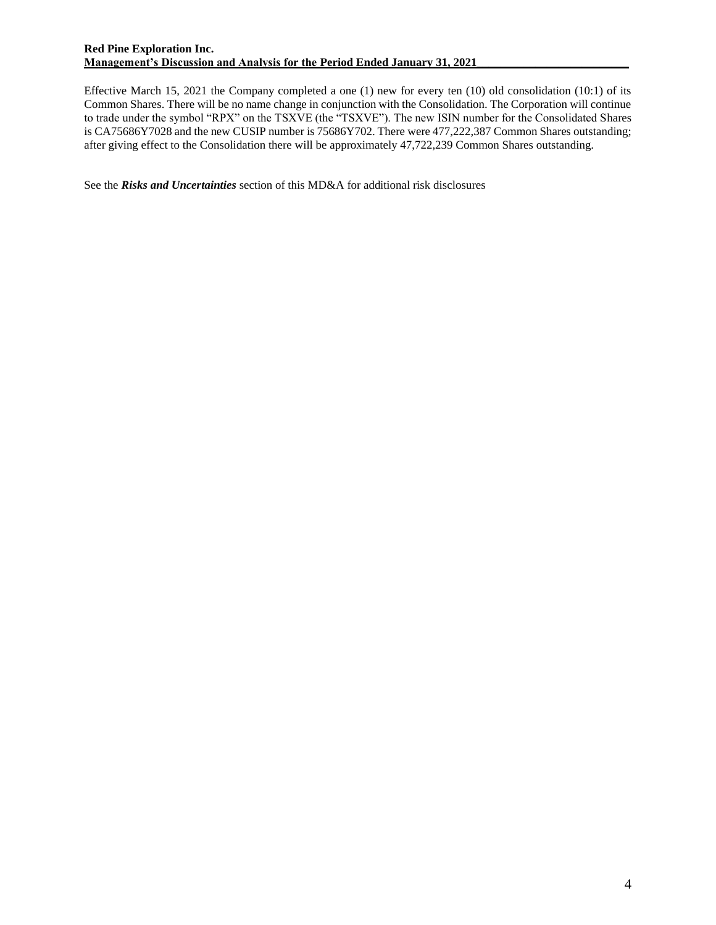# **Red Pine Exploration Inc. Management's Discussion and Analysis for the Period Ended January 31, 2021\_\_\_\_\_\_\_\_\_\_\_\_\_\_\_\_\_\_\_\_\_\_\_\_\_\_**

Effective March 15, 2021 the Company completed a one (1) new for every ten (10) old consolidation (10:1) of its Common Shares. There will be no name change in conjunction with the Consolidation. The Corporation will continue to trade under the symbol "RPX" on the TSXVE (the "TSXVE"). The new ISIN number for the Consolidated Shares is CA75686Y7028 and the new CUSIP number is 75686Y702. There were 477,222,387 Common Shares outstanding; after giving effect to the Consolidation there will be approximately 47,722,239 Common Shares outstanding.

See the *Risks and Uncertainties* section of this MD&A for additional risk disclosures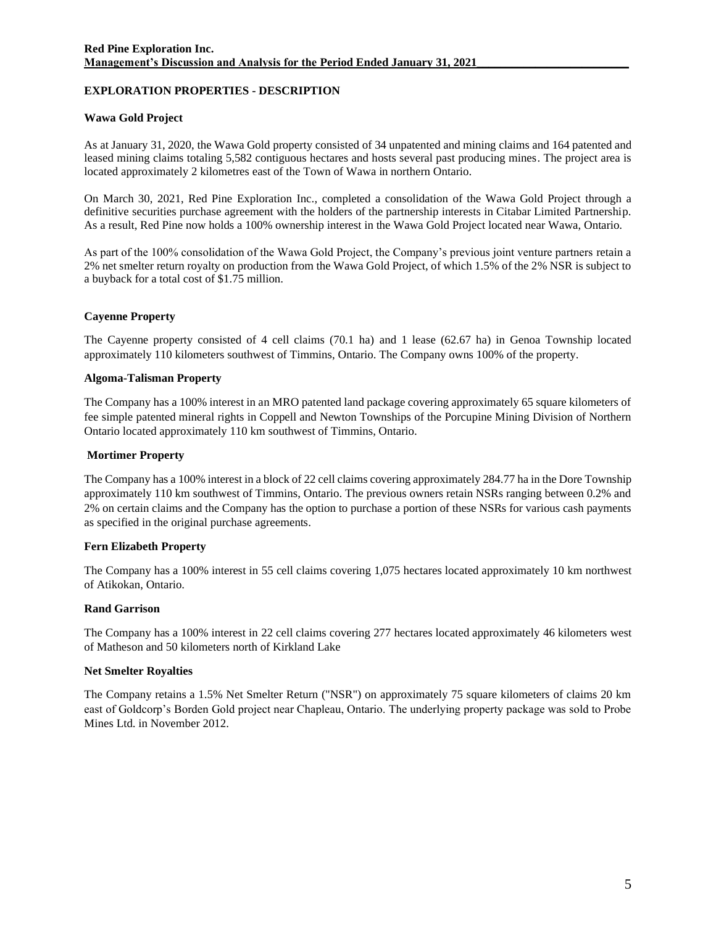# **EXPLORATION PROPERTIES - DESCRIPTION**

### **Wawa Gold Project**

As at January 31, 2020, the Wawa Gold property consisted of 34 unpatented and mining claims and 164 patented and leased mining claims totaling 5,582 contiguous hectares and hosts several past producing mines. The project area is located approximately 2 kilometres east of the Town of Wawa in northern Ontario.

On March 30, 2021, Red Pine Exploration Inc., completed a consolidation of the Wawa Gold Project through a definitive securities purchase agreement with the holders of the partnership interests in Citabar Limited Partnership. As a result, Red Pine now holds a 100% ownership interest in the Wawa Gold Project located near Wawa, Ontario.

As part of the 100% consolidation of the Wawa Gold Project, the Company's previous joint venture partners retain a 2% net smelter return royalty on production from the Wawa Gold Project, of which 1.5% of the 2% NSR is subject to a buyback for a total cost of \$1.75 million.

# **Cayenne Property**

The Cayenne property consisted of 4 cell claims (70.1 ha) and 1 lease (62.67 ha) in Genoa Township located approximately 110 kilometers southwest of Timmins, Ontario. The Company owns 100% of the property.

### **Algoma-Talisman Property**

The Company has a 100% interest in an MRO patented land package covering approximately 65 square kilometers of fee simple patented mineral rights in Coppell and Newton Townships of the Porcupine Mining Division of Northern Ontario located approximately 110 km southwest of Timmins, Ontario.

#### **Mortimer Property**

The Company has a 100% interest in a block of 22 cell claims covering approximately 284.77 ha in the Dore Township approximately 110 km southwest of Timmins, Ontario. The previous owners retain NSRs ranging between 0.2% and 2% on certain claims and the Company has the option to purchase a portion of these NSRs for various cash payments as specified in the original purchase agreements.

### **Fern Elizabeth Property**

The Company has a 100% interest in 55 cell claims covering 1,075 hectares located approximately 10 km northwest of Atikokan, Ontario.

### **Rand Garrison**

The Company has a 100% interest in 22 cell claims covering 277 hectares located approximately 46 kilometers west of Matheson and 50 kilometers north of Kirkland Lake

### **Net Smelter Royalties**

The Company retains a 1.5% Net Smelter Return ("NSR") on approximately 75 square kilometers of claims 20 km east of Goldcorp's Borden Gold project near Chapleau, Ontario. The underlying property package was sold to Probe Mines Ltd. in November 2012.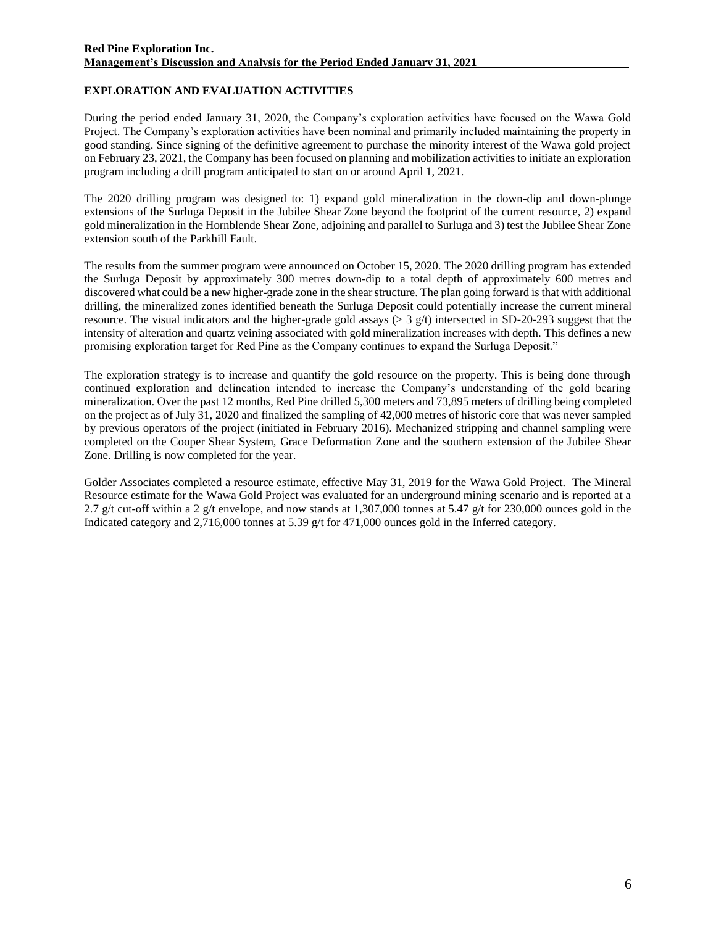# **EXPLORATION AND EVALUATION ACTIVITIES**

During the period ended January 31, 2020, the Company's exploration activities have focused on the Wawa Gold Project. The Company's exploration activities have been nominal and primarily included maintaining the property in good standing. Since signing of the definitive agreement to purchase the minority interest of the Wawa gold project on February 23, 2021, the Company has been focused on planning and mobilization activities to initiate an exploration program including a drill program anticipated to start on or around April 1, 2021.

The 2020 drilling program was designed to: 1) expand gold mineralization in the down-dip and down-plunge extensions of the Surluga Deposit in the Jubilee Shear Zone beyond the footprint of the current resource, 2) expand gold mineralization in the Hornblende Shear Zone, adjoining and parallel to Surluga and 3) test the Jubilee Shear Zone extension south of the Parkhill Fault.

The results from the summer program were announced on October 15, 2020. The 2020 drilling program has extended the Surluga Deposit by approximately 300 metres down-dip to a total depth of approximately 600 metres and discovered what could be a new higher-grade zone in the shear structure. The plan going forward is that with additional drilling, the mineralized zones identified beneath the Surluga Deposit could potentially increase the current mineral resource. The visual indicators and the higher-grade gold assays ( $>$  3 g/t) intersected in SD-20-293 suggest that the intensity of alteration and quartz veining associated with gold mineralization increases with depth. This defines a new promising exploration target for Red Pine as the Company continues to expand the Surluga Deposit."

The exploration strategy is to increase and quantify the gold resource on the property. This is being done through continued exploration and delineation intended to increase the Company's understanding of the gold bearing mineralization. Over the past 12 months, Red Pine drilled 5,300 meters and 73,895 meters of drilling being completed on the project as of July 31, 2020 and finalized the sampling of 42,000 metres of historic core that was never sampled by previous operators of the project (initiated in February 2016). Mechanized stripping and channel sampling were completed on the Cooper Shear System, Grace Deformation Zone and the southern extension of the Jubilee Shear Zone. Drilling is now completed for the year.

Golder Associates completed a resource estimate, effective May 31, 2019 for the Wawa Gold Project. The Mineral Resource estimate for the Wawa Gold Project was evaluated for an underground mining scenario and is reported at a 2.7 g/t cut-off within a 2 g/t envelope, and now stands at 1,307,000 tonnes at 5.47 g/t for 230,000 ounces gold in the Indicated category and 2,716,000 tonnes at 5.39 g/t for 471,000 ounces gold in the Inferred category.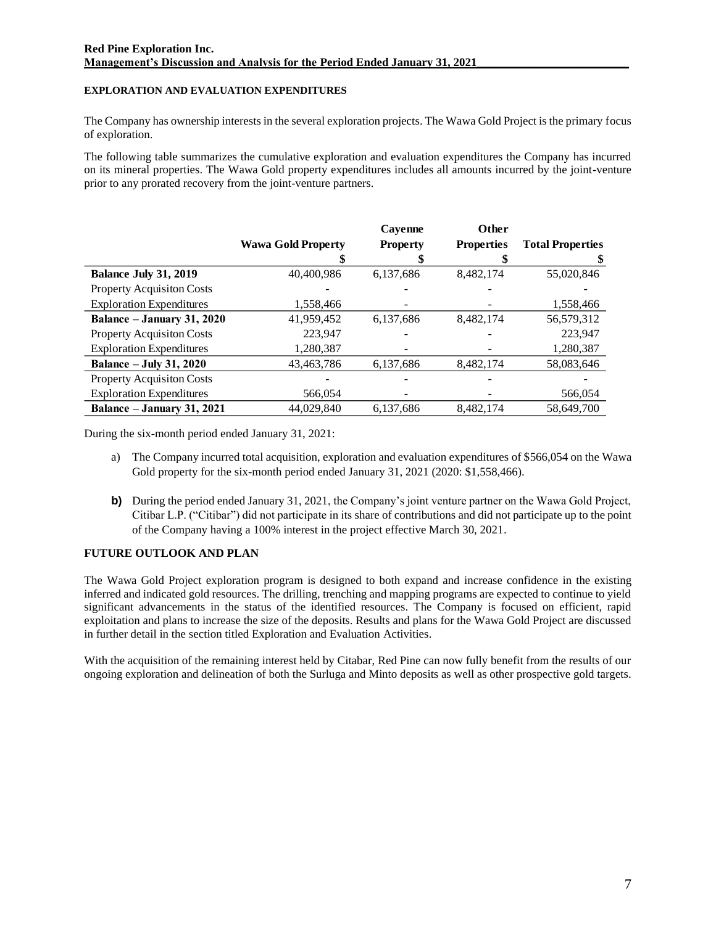### **EXPLORATION AND EVALUATION EXPENDITURES**

The Company has ownership interests in the several exploration projects. The Wawa Gold Project is the primary focus of exploration.

The following table summarizes the cumulative exploration and evaluation expenditures the Company has incurred on its mineral properties. The Wawa Gold property expenditures includes all amounts incurred by the joint-venture prior to any prorated recovery from the joint-venture partners.

|                                   |                           | Cavenne         | Other             |                         |
|-----------------------------------|---------------------------|-----------------|-------------------|-------------------------|
|                                   | <b>Wawa Gold Property</b> | <b>Property</b> | <b>Properties</b> | <b>Total Properties</b> |
|                                   |                           |                 |                   |                         |
| <b>Balance July 31, 2019</b>      | 40,400,986                | 6,137,686       | 8,482,174         | 55,020,846              |
| Property Acquisiton Costs         |                           |                 |                   |                         |
| <b>Exploration Expenditures</b>   | 1,558,466                 |                 |                   | 1,558,466               |
| <b>Balance - January 31, 2020</b> | 41,959,452                | 6,137,686       | 8,482,174         | 56,579,312              |
| <b>Property Acquisiton Costs</b>  | 223.947                   |                 |                   | 223.947                 |
| <b>Exploration Expenditures</b>   | 1,280,387                 |                 |                   | 1,280,387               |
| <b>Balance – July 31, 2020</b>    | 43,463,786                | 6,137,686       | 8,482,174         | 58,083,646              |
| Property Acquisiton Costs         |                           |                 |                   |                         |
| <b>Exploration Expenditures</b>   | 566,054                   |                 |                   | 566,054                 |
| Balance – January 31, 2021        | 44.029.840                | 6.137.686       | 8.482.174         | 58,649,700              |

During the six-month period ended January 31, 2021:

- a) The Company incurred total acquisition, exploration and evaluation expenditures of \$566,054 on the Wawa Gold property for the six-month period ended January 31, 2021 (2020: \$1,558,466).
- **b)** During the period ended January 31, 2021, the Company's joint venture partner on the Wawa Gold Project, Citibar L.P. ("Citibar") did not participate in its share of contributions and did not participate up to the point of the Company having a 100% interest in the project effective March 30, 2021.

### **FUTURE OUTLOOK AND PLAN**

The Wawa Gold Project exploration program is designed to both expand and increase confidence in the existing inferred and indicated gold resources. The drilling, trenching and mapping programs are expected to continue to yield significant advancements in the status of the identified resources. The Company is focused on efficient, rapid exploitation and plans to increase the size of the deposits. Results and plans for the Wawa Gold Project are discussed in further detail in the section titled Exploration and Evaluation Activities.

With the acquisition of the remaining interest held by Citabar, Red Pine can now fully benefit from the results of our ongoing exploration and delineation of both the Surluga and Minto deposits as well as other prospective gold targets.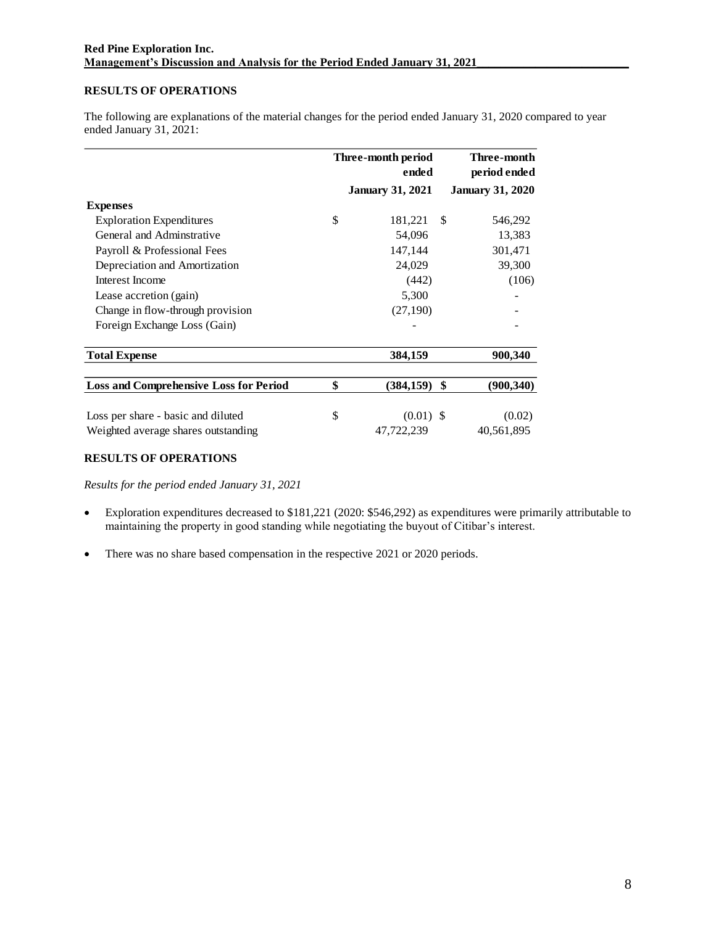# **RESULTS OF OPERATIONS**

The following are explanations of the material changes for the period ended January 31, 2020 compared to year ended January 31, 2021:

|                                               | Three-month period<br>ended | Three-month<br>period ended |  |
|-----------------------------------------------|-----------------------------|-----------------------------|--|
|                                               | <b>January 31, 2021</b>     | <b>January 31, 2020</b>     |  |
| <b>Expenses</b>                               |                             |                             |  |
| <b>Exploration Expenditures</b>               | \$<br>181,221               | <sup>\$</sup><br>546,292    |  |
| General and Adminstrative                     | 54,096                      | 13,383                      |  |
| Payroll & Professional Fees                   | 147,144                     | 301,471                     |  |
| Depreciation and Amortization                 | 24,029                      | 39,300                      |  |
| Interest Income                               | (442)                       | (106)                       |  |
| Lease accretion (gain)                        | 5,300                       |                             |  |
| Change in flow-through provision              | (27,190)                    |                             |  |
| Foreign Exchange Loss (Gain)                  |                             |                             |  |
| <b>Total Expense</b>                          | 384,159                     | 900,340                     |  |
| <b>Loss and Comprehensive Loss for Period</b> | \$<br>(384, 159)            | (900, 340)<br>\$            |  |
| Loss per share - basic and diluted            | \$<br>$(0.01)$ \$           | (0.02)                      |  |
| Weighted average shares outstanding           | 47,722,239                  | 40,561,895                  |  |

### **RESULTS OF OPERATIONS**

*Results for the period ended January 31, 2021*

- Exploration expenditures decreased to \$181,221 (2020: \$546,292) as expenditures were primarily attributable to maintaining the property in good standing while negotiating the buyout of Citibar's interest.
- There was no share based compensation in the respective 2021 or 2020 periods.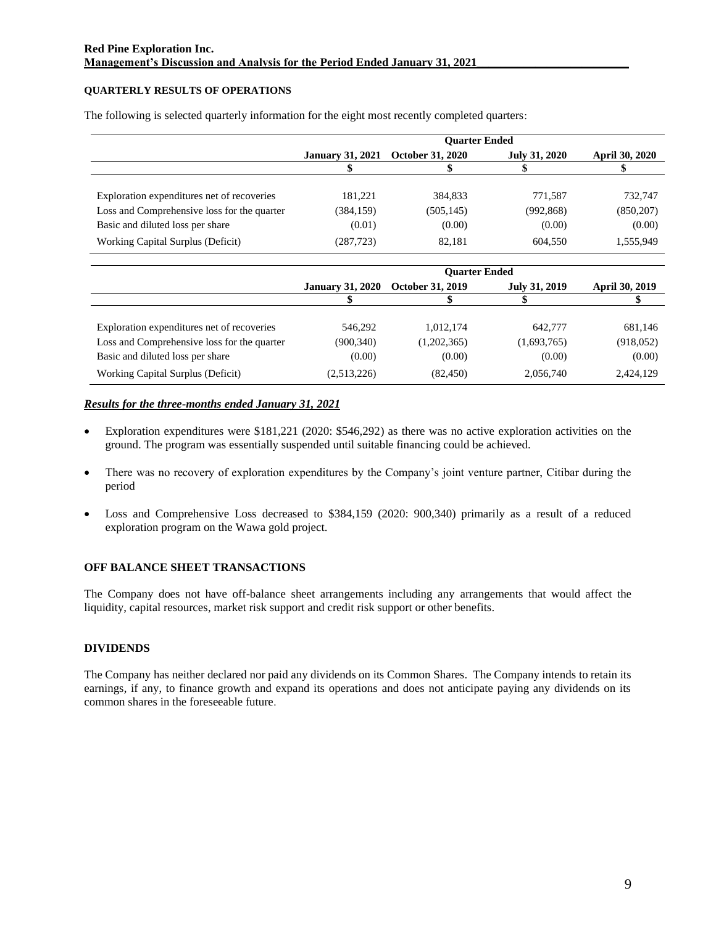### **QUARTERLY RESULTS OF OPERATIONS**

|                                             | <b>Ouarter Ended</b>    |                         |                      |                       |
|---------------------------------------------|-------------------------|-------------------------|----------------------|-----------------------|
|                                             | <b>January 31, 2021</b> | <b>October 31, 2020</b> | <b>July 31, 2020</b> | <b>April 30, 2020</b> |
|                                             |                         |                         |                      |                       |
|                                             |                         |                         |                      |                       |
| Exploration expenditures net of recoveries  | 181.221                 | 384,833                 | 771.587              | 732,747               |
| Loss and Comprehensive loss for the quarter | (384, 159)              | (505, 145)              | (992, 868)           | (850, 207)            |
| Basic and diluted loss per share            | (0.01)                  | (0.00)                  | (0.00)               | (0.00)                |
| Working Capital Surplus (Deficit)           | (287, 723)              | 82,181                  | 604,550              | 1,555,949             |

The following is selected quarterly information for the eight most recently completed quarters:

|                                             | <b>Ouarter Ended</b>    |                         |               |                       |
|---------------------------------------------|-------------------------|-------------------------|---------------|-----------------------|
|                                             | <b>January 31, 2020</b> | <b>October 31, 2019</b> | July 31, 2019 | <b>April 30, 2019</b> |
|                                             |                         |                         |               |                       |
| Exploration expenditures net of recoveries  | 546.292                 | 1,012,174               | 642,777       | 681,146               |
| Loss and Comprehensive loss for the quarter | (900, 340)              | (1,202,365)             | (1,693,765)   | (918, 052)            |
| Basic and diluted loss per share            | (0.00)                  | (0.00)                  | (0.00)        | (0.00)                |
| Working Capital Surplus (Deficit)           | (2,513,226)             | (82, 450)               | 2,056,740     | 2,424,129             |

#### *Results for the three-months ended January 31, 2021*

- Exploration expenditures were \$181,221 (2020: \$546,292) as there was no active exploration activities on the ground. The program was essentially suspended until suitable financing could be achieved.
- There was no recovery of exploration expenditures by the Company's joint venture partner, Citibar during the period
- Loss and Comprehensive Loss decreased to \$384,159 (2020: 900,340) primarily as a result of a reduced exploration program on the Wawa gold project.

### **OFF BALANCE SHEET TRANSACTIONS**

The Company does not have off-balance sheet arrangements including any arrangements that would affect the liquidity, capital resources, market risk support and credit risk support or other benefits.

#### **DIVIDENDS**

The Company has neither declared nor paid any dividends on its Common Shares. The Company intends to retain its earnings, if any, to finance growth and expand its operations and does not anticipate paying any dividends on its common shares in the foreseeable future.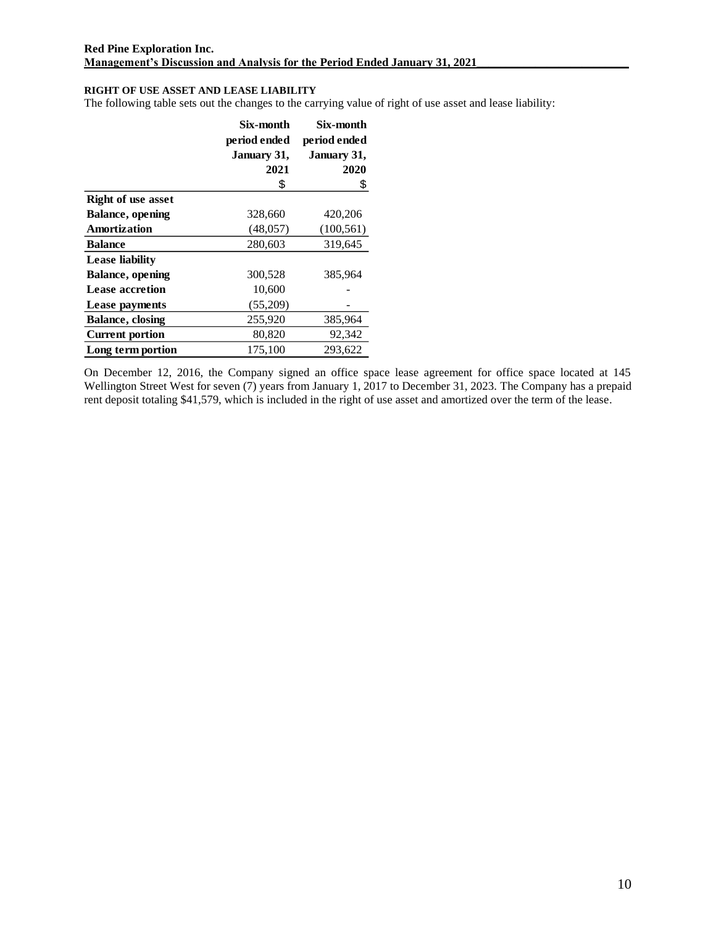# **RIGHT OF USE ASSET AND LEASE LIABILITY**

The following table sets out the changes to the carrying value of right of use asset and lease liability:

|                           | Six-month    | Six-month    |
|---------------------------|--------------|--------------|
|                           | period ended | period ended |
|                           | January 31,  | January 31,  |
|                           | 2021         | 2020         |
|                           | \$           | \$           |
| <b>Right of use asset</b> |              |              |
| Balance, opening          | 328,660      | 420,206      |
| Amortization              | (48, 057)    | (100, 561)   |
| <b>Balance</b>            | 280,603      | 319,645      |
| Lease liability           |              |              |
| Balance, opening          | 300,528      | 385,964      |
| <b>Lease accretion</b>    | 10,600       |              |
| Lease payments            | (55,209)     |              |
| <b>Balance, closing</b>   | 255,920      | 385,964      |
| <b>Current portion</b>    | 80,820       | 92,342       |
| Long term portion         | 175,100      | 293.622      |

On December 12, 2016, the Company signed an office space lease agreement for office space located at 145 Wellington Street West for seven (7) years from January 1, 2017 to December 31, 2023. The Company has a prepaid rent deposit totaling \$41,579, which is included in the right of use asset and amortized over the term of the lease.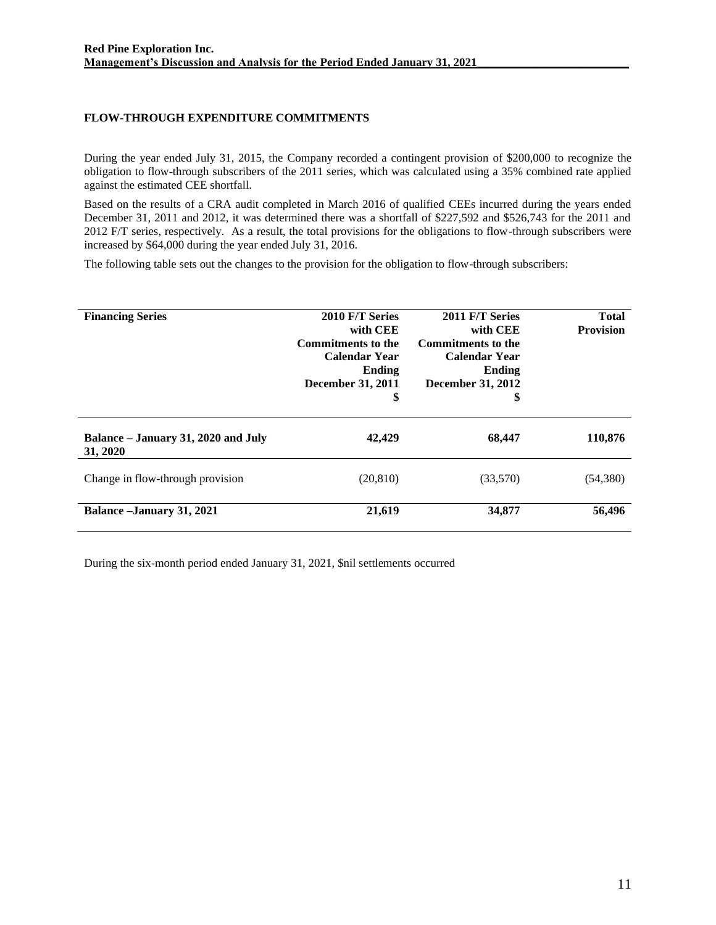# **FLOW-THROUGH EXPENDITURE COMMITMENTS**

During the year ended July 31, 2015, the Company recorded a contingent provision of \$200,000 to recognize the obligation to flow-through subscribers of the 2011 series, which was calculated using a 35% combined rate applied against the estimated CEE shortfall.

Based on the results of a CRA audit completed in March 2016 of qualified CEEs incurred during the years ended December 31, 2011 and 2012, it was determined there was a shortfall of \$227,592 and \$526,743 for the 2011 and 2012 F/T series, respectively. As a result, the total provisions for the obligations to flow-through subscribers were increased by \$64,000 during the year ended July 31, 2016.

The following table sets out the changes to the provision for the obligation to flow-through subscribers:

| <b>Financing Series</b>                         | 2010 F/T Series<br>with CEE<br><b>Commitments to the</b><br><b>Calendar Year</b><br>Ending<br><b>December 31, 2011</b><br>\$ | 2011 F/T Series<br>with CEE<br><b>Commitments to the</b><br><b>Calendar Year</b><br>Ending<br>December 31, 2012<br>\$ | <b>Total</b><br><b>Provision</b> |
|-------------------------------------------------|------------------------------------------------------------------------------------------------------------------------------|-----------------------------------------------------------------------------------------------------------------------|----------------------------------|
| Balance – January 31, 2020 and July<br>31, 2020 | 42,429                                                                                                                       | 68,447                                                                                                                | 110,876                          |
| Change in flow-through provision                | (20, 810)                                                                                                                    | (33,570)                                                                                                              | (54, 380)                        |
| <b>Balance - January 31, 2021</b>               | 21,619                                                                                                                       | 34,877                                                                                                                | 56,496                           |

During the six-month period ended January 31, 2021, \$nil settlements occurred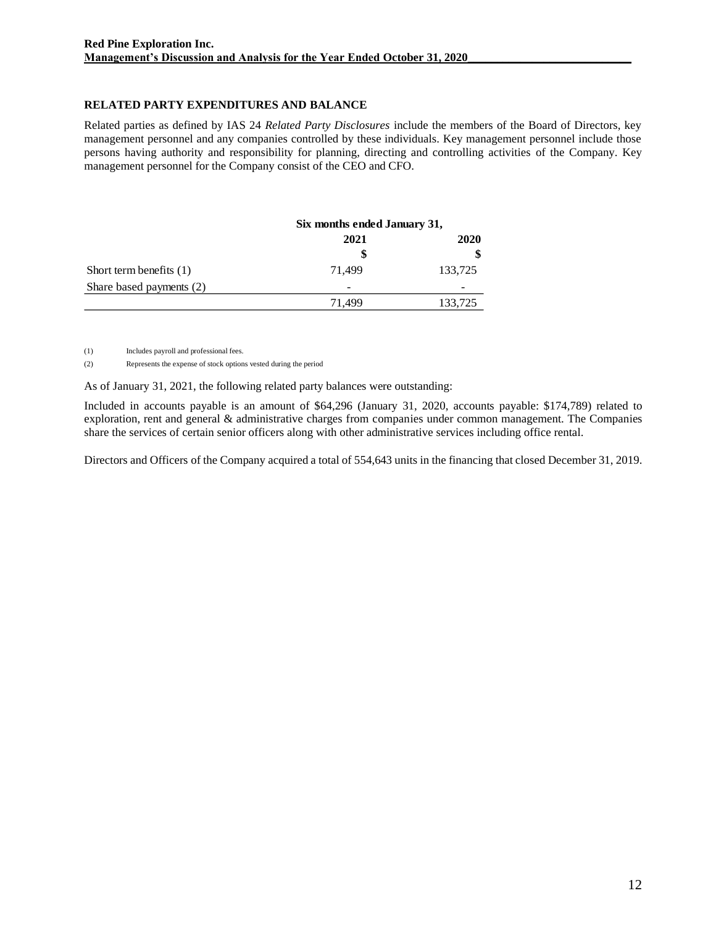### **RELATED PARTY EXPENDITURES AND BALANCE**

Related parties as defined by IAS 24 *Related Party Disclosures* include the members of the Board of Directors, key management personnel and any companies controlled by these individuals. Key management personnel include those persons having authority and responsibility for planning, directing and controlling activities of the Company. Key management personnel for the Company consist of the CEO and CFO.

|                           | Six months ended January 31, |         |
|---------------------------|------------------------------|---------|
|                           | 2021                         | 2020    |
|                           |                              | S       |
| Short term benefits $(1)$ | 71.499                       | 133,725 |
| Share based payments (2)  |                              |         |
|                           | 71.499                       | 133,725 |

(1) Includes payroll and professional fees.

(2) Represents the expense of stock options vested during the period

As of January 31, 2021, the following related party balances were outstanding:

Included in accounts payable is an amount of \$64,296 (January 31, 2020, accounts payable: \$174,789) related to exploration, rent and general & administrative charges from companies under common management. The Companies share the services of certain senior officers along with other administrative services including office rental.

Directors and Officers of the Company acquired a total of 554,643 units in the financing that closed December 31, 2019.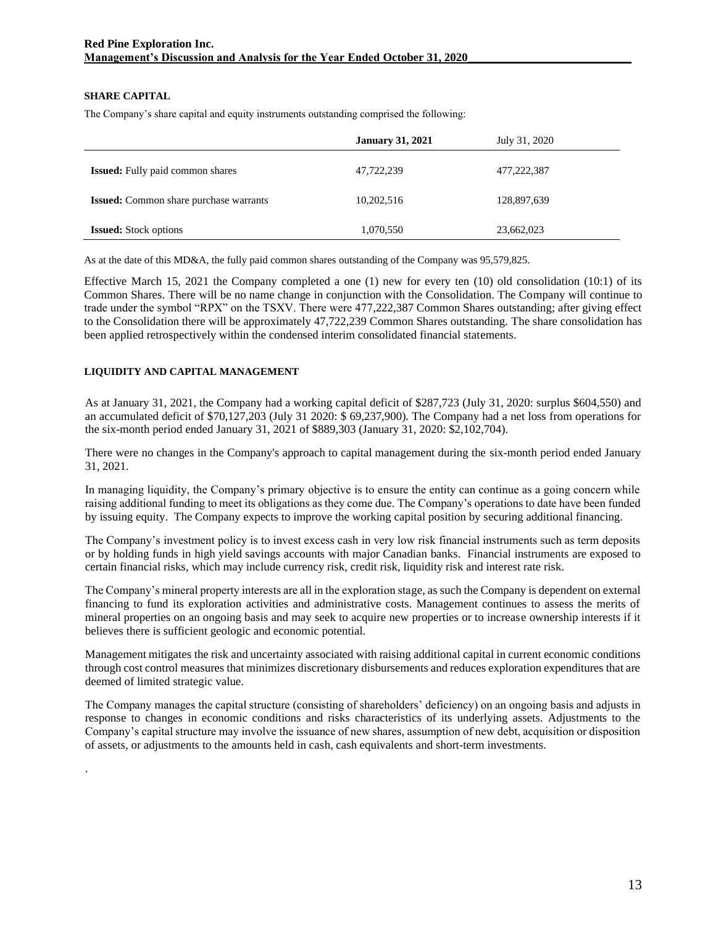#### **SHARE CAPITAL**

.

The Company's share capital and equity instruments outstanding comprised the following:

|                                               | <b>January 31, 2021</b> | July 31, 2020 |
|-----------------------------------------------|-------------------------|---------------|
| <b>Issued:</b> Fully paid common shares       | 47,722,239              | 477,222,387   |
| <b>Issued:</b> Common share purchase warrants | 10,202,516              | 128,897,639   |
| <b>Issued:</b> Stock options                  | 1,070,550               | 23,662,023    |

As at the date of this MD&A, the fully paid common shares outstanding of the Company was 95,579,825.

Effective March 15, 2021 the Company completed a one (1) new for every ten (10) old consolidation (10:1) of its Common Shares. There will be no name change in conjunction with the Consolidation. The Company will continue to trade under the symbol "RPX" on the TSXV. There were 477,222,387 Common Shares outstanding; after giving effect to the Consolidation there will be approximately 47,722,239 Common Shares outstanding. The share consolidation has been applied retrospectively within the condensed interim consolidated financial statements.

#### **LIQUIDITY AND CAPITAL MANAGEMENT**

As at January 31, 2021, the Company had a working capital deficit of \$287,723 (July 31, 2020: surplus \$604,550) and an accumulated deficit of \$70,127,203 (July 31 2020: \$ 69,237,900). The Company had a net loss from operations for the six-month period ended January 31, 2021 of \$889,303 (January 31, 2020: \$2,102,704).

There were no changes in the Company's approach to capital management during the six-month period ended January 31, 2021.

In managing liquidity, the Company's primary objective is to ensure the entity can continue as a going concern while raising additional funding to meet its obligations as they come due. The Company's operations to date have been funded by issuing equity. The Company expects to improve the working capital position by securing additional financing.

The Company's investment policy is to invest excess cash in very low risk financial instruments such as term deposits or by holding funds in high yield savings accounts with major Canadian banks. Financial instruments are exposed to certain financial risks, which may include currency risk, credit risk, liquidity risk and interest rate risk.

The Company's mineral property interests are all in the exploration stage, as such the Company is dependent on external financing to fund its exploration activities and administrative costs. Management continues to assess the merits of mineral properties on an ongoing basis and may seek to acquire new properties or to increase ownership interests if it believes there is sufficient geologic and economic potential.

Management mitigates the risk and uncertainty associated with raising additional capital in current economic conditions through cost control measures that minimizes discretionary disbursements and reduces exploration expenditures that are deemed of limited strategic value.

The Company manages the capital structure (consisting of shareholders' deficiency) on an ongoing basis and adjusts in response to changes in economic conditions and risks characteristics of its underlying assets. Adjustments to the Company's capital structure may involve the issuance of new shares, assumption of new debt, acquisition or disposition of assets, or adjustments to the amounts held in cash, cash equivalents and short-term investments.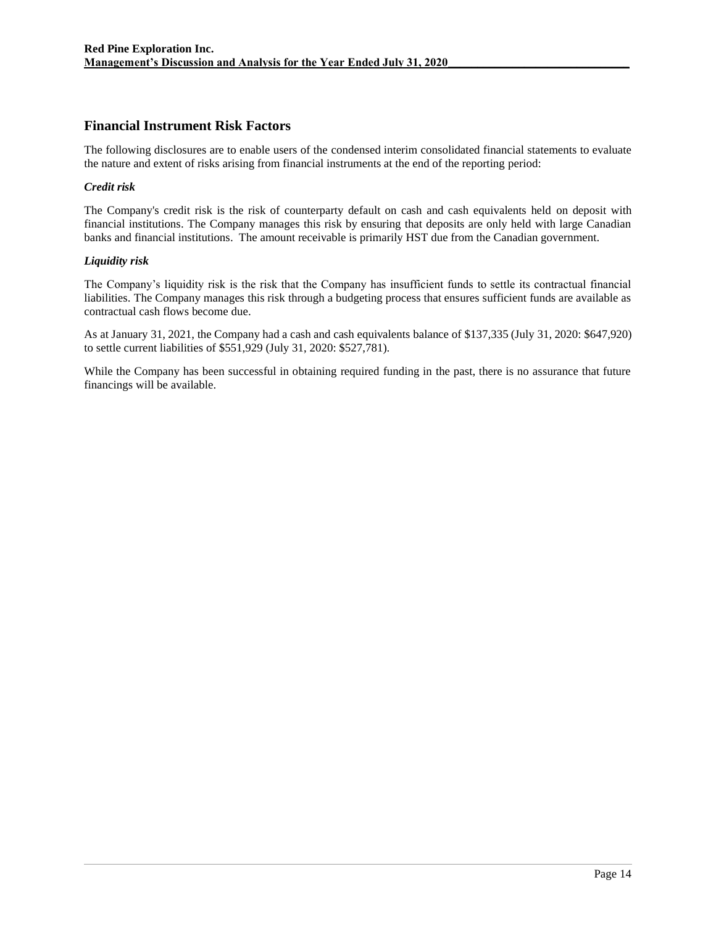# **Financial Instrument Risk Factors**

The following disclosures are to enable users of the condensed interim consolidated financial statements to evaluate the nature and extent of risks arising from financial instruments at the end of the reporting period:

#### *Credit risk*

The Company's credit risk is the risk of counterparty default on cash and cash equivalents held on deposit with financial institutions. The Company manages this risk by ensuring that deposits are only held with large Canadian banks and financial institutions. The amount receivable is primarily HST due from the Canadian government.

#### *Liquidity risk*

The Company's liquidity risk is the risk that the Company has insufficient funds to settle its contractual financial liabilities. The Company manages this risk through a budgeting process that ensures sufficient funds are available as contractual cash flows become due.

As at January 31, 2021, the Company had a cash and cash equivalents balance of \$137,335 (July 31, 2020: \$647,920) to settle current liabilities of \$551,929 (July 31, 2020: \$527,781).

While the Company has been successful in obtaining required funding in the past, there is no assurance that future financings will be available.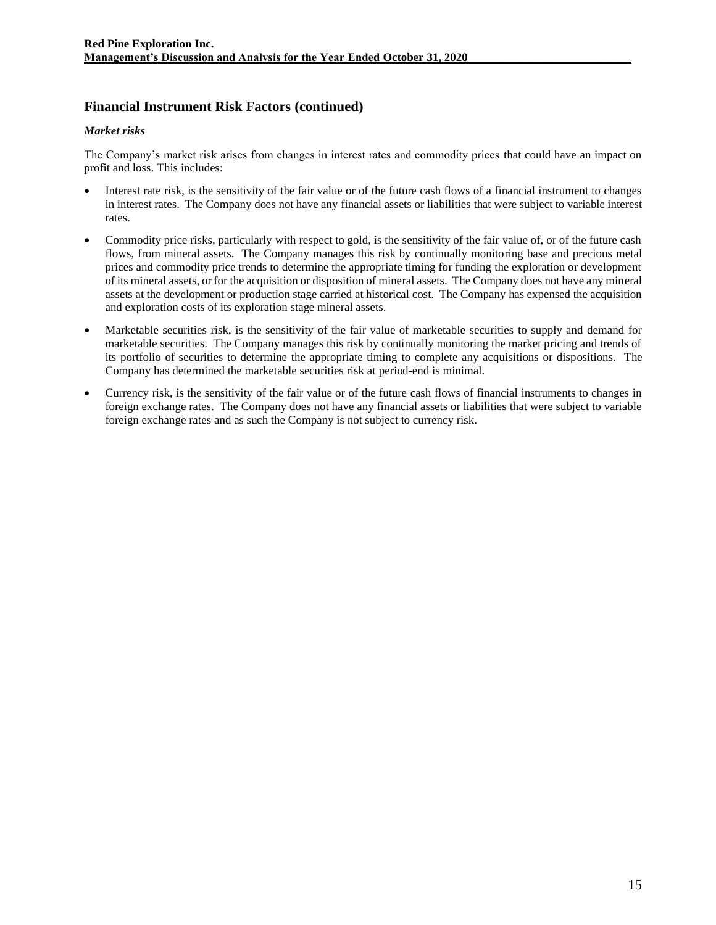# **Financial Instrument Risk Factors (continued)**

# *Market risks*

The Company's market risk arises from changes in interest rates and commodity prices that could have an impact on profit and loss. This includes:

- Interest rate risk, is the sensitivity of the fair value or of the future cash flows of a financial instrument to changes in interest rates. The Company does not have any financial assets or liabilities that were subject to variable interest rates.
- Commodity price risks, particularly with respect to gold, is the sensitivity of the fair value of, or of the future cash flows, from mineral assets. The Company manages this risk by continually monitoring base and precious metal prices and commodity price trends to determine the appropriate timing for funding the exploration or development of its mineral assets, or for the acquisition or disposition of mineral assets. The Company does not have any mineral assets at the development or production stage carried at historical cost. The Company has expensed the acquisition and exploration costs of its exploration stage mineral assets.
- Marketable securities risk, is the sensitivity of the fair value of marketable securities to supply and demand for marketable securities. The Company manages this risk by continually monitoring the market pricing and trends of its portfolio of securities to determine the appropriate timing to complete any acquisitions or dispositions. The Company has determined the marketable securities risk at period-end is minimal.
- Currency risk, is the sensitivity of the fair value or of the future cash flows of financial instruments to changes in foreign exchange rates. The Company does not have any financial assets or liabilities that were subject to variable foreign exchange rates and as such the Company is not subject to currency risk.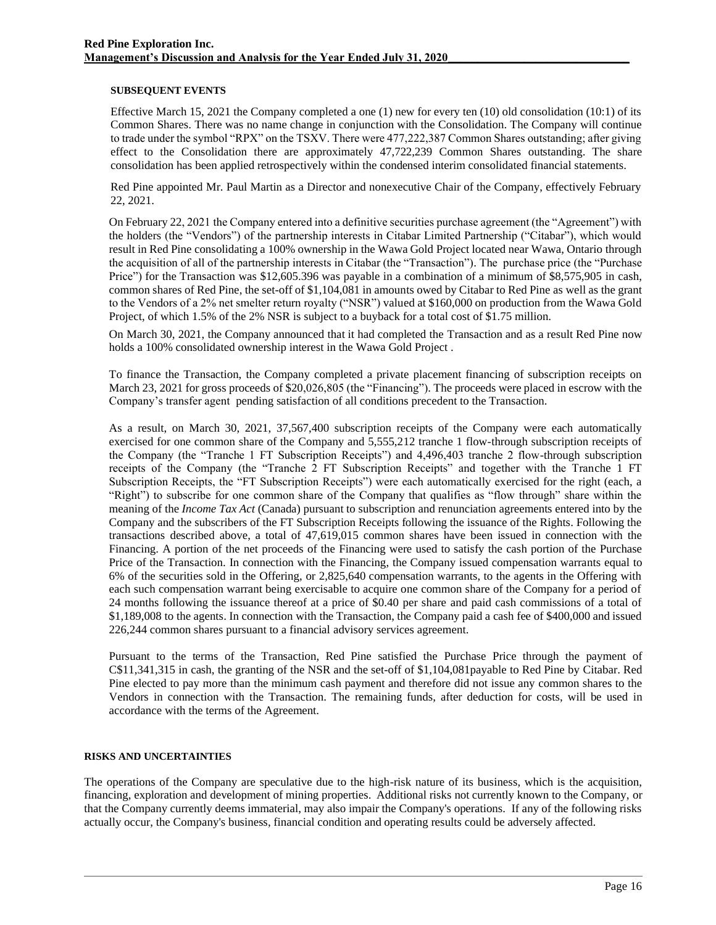#### **SUBSEQUENT EVENTS**

Effective March 15, 2021 the Company completed a one (1) new for every ten (10) old consolidation (10:1) of its Common Shares. There was no name change in conjunction with the Consolidation. The Company will continue to trade under the symbol "RPX" on the TSXV. There were 477,222,387 Common Shares outstanding; after giving effect to the Consolidation there are approximately 47,722,239 Common Shares outstanding. The share consolidation has been applied retrospectively within the condensed interim consolidated financial statements.

Red Pine appointed Mr. Paul Martin as a Director and nonexecutive Chair of the Company, effectively February 22, 2021.

On February 22, 2021 the Company entered into a definitive securities purchase agreement (the "Agreement") with the holders (the "Vendors") of the partnership interests in Citabar Limited Partnership ("Citabar"), which would result in Red Pine consolidating a 100% ownership in the Wawa Gold Project located near Wawa, Ontario through the acquisition of all of the partnership interests in Citabar (the "Transaction"). The purchase price (the "Purchase Price") for the Transaction was \$12,605.396 was payable in a combination of a minimum of \$8,575,905 in cash, common shares of Red Pine, the set-off of \$1,104,081 in amounts owed by Citabar to Red Pine as well as the grant to the Vendors of a 2% net smelter return royalty ("NSR") valued at \$160,000 on production from the Wawa Gold Project, of which 1.5% of the 2% NSR is subject to a buyback for a total cost of \$1.75 million.

On March 30, 2021, the Company announced that it had completed the Transaction and as a result Red Pine now holds a 100% consolidated ownership interest in the Wawa Gold Project .

To finance the Transaction, the Company completed a private placement financing of subscription receipts on March 23, 2021 for gross proceeds of \$20,026,805 (the "Financing"). The proceeds were placed in escrow with the Company's transfer agent pending satisfaction of all conditions precedent to the Transaction.

As a result, on March 30, 2021, 37,567,400 subscription receipts of the Company were each automatically exercised for one common share of the Company and 5,555,212 tranche 1 flow-through subscription receipts of the Company (the "Tranche 1 FT Subscription Receipts") and 4,496,403 tranche 2 flow-through subscription receipts of the Company (the "Tranche 2 FT Subscription Receipts" and together with the Tranche 1 FT Subscription Receipts, the "FT Subscription Receipts") were each automatically exercised for the right (each, a "Right") to subscribe for one common share of the Company that qualifies as "flow through" share within the meaning of the *Income Tax Act* (Canada) pursuant to subscription and renunciation agreements entered into by the Company and the subscribers of the FT Subscription Receipts following the issuance of the Rights. Following the transactions described above, a total of 47,619,015 common shares have been issued in connection with the Financing. A portion of the net proceeds of the Financing were used to satisfy the cash portion of the Purchase Price of the Transaction. In connection with the Financing, the Company issued compensation warrants equal to 6% of the securities sold in the Offering, or 2,825,640 compensation warrants, to the agents in the Offering with each such compensation warrant being exercisable to acquire one common share of the Company for a period of 24 months following the issuance thereof at a price of \$0.40 per share and paid cash commissions of a total of \$1,189,008 to the agents. In connection with the Transaction, the Company paid a cash fee of \$400,000 and issued 226,244 common shares pursuant to a financial advisory services agreement.

Pursuant to the terms of the Transaction, Red Pine satisfied the Purchase Price through the payment of C\$11,341,315 in cash, the granting of the NSR and the set-off of \$1,104,081payable to Red Pine by Citabar. Red Pine elected to pay more than the minimum cash payment and therefore did not issue any common shares to the Vendors in connection with the Transaction. The remaining funds, after deduction for costs, will be used in accordance with the terms of the Agreement.

#### **RISKS AND UNCERTAINTIES**

The operations of the Company are speculative due to the high-risk nature of its business, which is the acquisition, financing, exploration and development of mining properties. Additional risks not currently known to the Company, or that the Company currently deems immaterial, may also impair the Company's operations. If any of the following risks actually occur, the Company's business, financial condition and operating results could be adversely affected.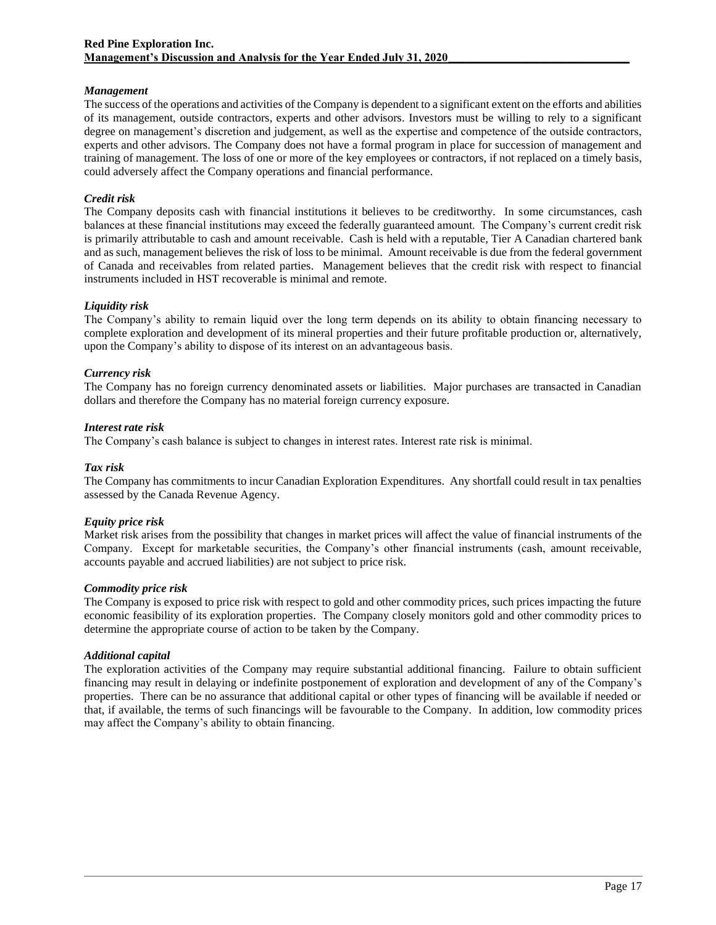### *Management*

The success of the operations and activities of the Company is dependent to a significant extent on the efforts and abilities of its management, outside contractors, experts and other advisors. Investors must be willing to rely to a significant degree on management's discretion and judgement, as well as the expertise and competence of the outside contractors, experts and other advisors. The Company does not have a formal program in place for succession of management and training of management. The loss of one or more of the key employees or contractors, if not replaced on a timely basis, could adversely affect the Company operations and financial performance.

## *Credit risk*

The Company deposits cash with financial institutions it believes to be creditworthy. In some circumstances, cash balances at these financial institutions may exceed the federally guaranteed amount. The Company's current credit risk is primarily attributable to cash and amount receivable. Cash is held with a reputable, Tier A Canadian chartered bank and as such, management believes the risk of loss to be minimal. Amount receivable is due from the federal government of Canada and receivables from related parties. Management believes that the credit risk with respect to financial instruments included in HST recoverable is minimal and remote.

### *Liquidity risk*

The Company's ability to remain liquid over the long term depends on its ability to obtain financing necessary to complete exploration and development of its mineral properties and their future profitable production or, alternatively, upon the Company's ability to dispose of its interest on an advantageous basis.

# *Currency risk*

The Company has no foreign currency denominated assets or liabilities. Major purchases are transacted in Canadian dollars and therefore the Company has no material foreign currency exposure.

### *Interest rate risk*

The Company's cash balance is subject to changes in interest rates. Interest rate risk is minimal.

#### *Tax risk*

The Company has commitments to incur Canadian Exploration Expenditures. Any shortfall could result in tax penalties assessed by the Canada Revenue Agency.

### *Equity price risk*

Market risk arises from the possibility that changes in market prices will affect the value of financial instruments of the Company. Except for marketable securities, the Company's other financial instruments (cash, amount receivable, accounts payable and accrued liabilities) are not subject to price risk.

### *Commodity price risk*

The Company is exposed to price risk with respect to gold and other commodity prices, such prices impacting the future economic feasibility of its exploration properties. The Company closely monitors gold and other commodity prices to determine the appropriate course of action to be taken by the Company.

### *Additional capital*

The exploration activities of the Company may require substantial additional financing. Failure to obtain sufficient financing may result in delaying or indefinite postponement of exploration and development of any of the Company's properties. There can be no assurance that additional capital or other types of financing will be available if needed or that, if available, the terms of such financings will be favourable to the Company. In addition, low commodity prices may affect the Company's ability to obtain financing.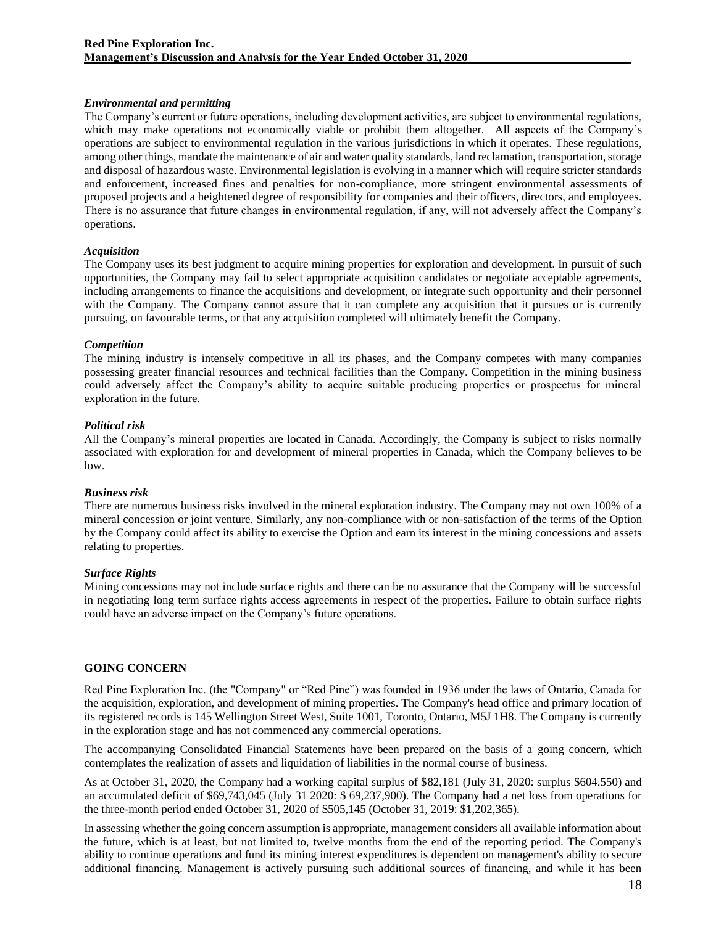## *Environmental and permitting*

The Company's current or future operations, including development activities, are subject to environmental regulations, which may make operations not economically viable or prohibit them altogether. All aspects of the Company's operations are subject to environmental regulation in the various jurisdictions in which it operates. These regulations, among other things, mandate the maintenance of air and water quality standards, land reclamation, transportation, storage and disposal of hazardous waste. Environmental legislation is evolving in a manner which will require stricter standards and enforcement, increased fines and penalties for non-compliance, more stringent environmental assessments of proposed projects and a heightened degree of responsibility for companies and their officers, directors, and employees. There is no assurance that future changes in environmental regulation, if any, will not adversely affect the Company's operations.

### *Acquisition*

The Company uses its best judgment to acquire mining properties for exploration and development. In pursuit of such opportunities, the Company may fail to select appropriate acquisition candidates or negotiate acceptable agreements, including arrangements to finance the acquisitions and development, or integrate such opportunity and their personnel with the Company. The Company cannot assure that it can complete any acquisition that it pursues or is currently pursuing, on favourable terms, or that any acquisition completed will ultimately benefit the Company.

#### *Competition*

The mining industry is intensely competitive in all its phases, and the Company competes with many companies possessing greater financial resources and technical facilities than the Company. Competition in the mining business could adversely affect the Company's ability to acquire suitable producing properties or prospectus for mineral exploration in the future.

#### *Political risk*

All the Company's mineral properties are located in Canada. Accordingly, the Company is subject to risks normally associated with exploration for and development of mineral properties in Canada, which the Company believes to be low.

### *Business risk*

There are numerous business risks involved in the mineral exploration industry. The Company may not own 100% of a mineral concession or joint venture. Similarly, any non-compliance with or non-satisfaction of the terms of the Option by the Company could affect its ability to exercise the Option and earn its interest in the mining concessions and assets relating to properties.

#### *Surface Rights*

Mining concessions may not include surface rights and there can be no assurance that the Company will be successful in negotiating long term surface rights access agreements in respect of the properties. Failure to obtain surface rights could have an adverse impact on the Company's future operations.

### **GOING CONCERN**

Red Pine Exploration Inc. (the "Company" or "Red Pine") was founded in 1936 under the laws of Ontario, Canada for the acquisition, exploration, and development of mining properties. The Company's head office and primary location of its registered records is 145 Wellington Street West, Suite 1001, Toronto, Ontario, M5J 1H8. The Company is currently in the exploration stage and has not commenced any commercial operations.

The accompanying Consolidated Financial Statements have been prepared on the basis of a going concern, which contemplates the realization of assets and liquidation of liabilities in the normal course of business.

As at October 31, 2020, the Company had a working capital surplus of \$82,181 (July 31, 2020: surplus \$604.550) and an accumulated deficit of \$69,743,045 (July 31 2020: \$ 69,237,900). The Company had a net loss from operations for the three-month period ended October 31, 2020 of \$505,145 (October 31, 2019: \$1,202,365).

In assessing whether the going concern assumption is appropriate, management considers all available information about the future, which is at least, but not limited to, twelve months from the end of the reporting period. The Company's ability to continue operations and fund its mining interest expenditures is dependent on management's ability to secure additional financing. Management is actively pursuing such additional sources of financing, and while it has been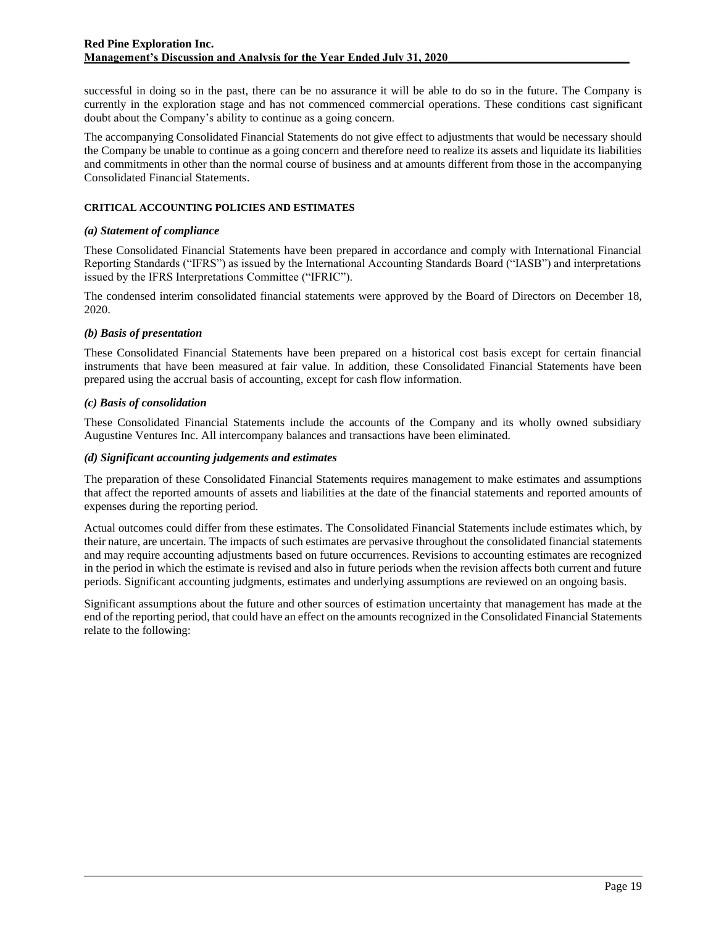successful in doing so in the past, there can be no assurance it will be able to do so in the future. The Company is currently in the exploration stage and has not commenced commercial operations. These conditions cast significant doubt about the Company's ability to continue as a going concern.

The accompanying Consolidated Financial Statements do not give effect to adjustments that would be necessary should the Company be unable to continue as a going concern and therefore need to realize its assets and liquidate its liabilities and commitments in other than the normal course of business and at amounts different from those in the accompanying Consolidated Financial Statements.

# **CRITICAL ACCOUNTING POLICIES AND ESTIMATES**

### *(a) Statement of compliance*

These Consolidated Financial Statements have been prepared in accordance and comply with International Financial Reporting Standards ("IFRS") as issued by the International Accounting Standards Board ("IASB") and interpretations issued by the IFRS Interpretations Committee ("IFRIC").

The condensed interim consolidated financial statements were approved by the Board of Directors on December 18, 2020.

# *(b) Basis of presentation*

These Consolidated Financial Statements have been prepared on a historical cost basis except for certain financial instruments that have been measured at fair value. In addition, these Consolidated Financial Statements have been prepared using the accrual basis of accounting, except for cash flow information.

# *(c) Basis of consolidation*

These Consolidated Financial Statements include the accounts of the Company and its wholly owned subsidiary Augustine Ventures Inc. All intercompany balances and transactions have been eliminated.

## *(d) Significant accounting judgements and estimates*

The preparation of these Consolidated Financial Statements requires management to make estimates and assumptions that affect the reported amounts of assets and liabilities at the date of the financial statements and reported amounts of expenses during the reporting period.

Actual outcomes could differ from these estimates. The Consolidated Financial Statements include estimates which, by their nature, are uncertain. The impacts of such estimates are pervasive throughout the consolidated financial statements and may require accounting adjustments based on future occurrences. Revisions to accounting estimates are recognized in the period in which the estimate is revised and also in future periods when the revision affects both current and future periods. Significant accounting judgments, estimates and underlying assumptions are reviewed on an ongoing basis.

Significant assumptions about the future and other sources of estimation uncertainty that management has made at the end of the reporting period, that could have an effect on the amounts recognized in the Consolidated Financial Statements relate to the following: